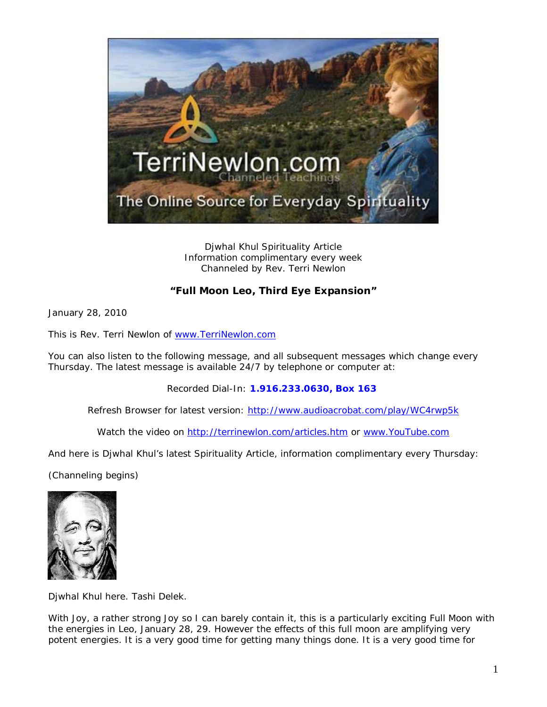

Djwhal Khul Spirituality Article Information complimentary every week Channeled by Rev. Terri Newlon

## **"Full Moon Leo, Third Eye Expansion"**

January 28, 2010

This is Rev. Terri Newlon of [www.TerriNewlon.com](http://www.terrinewlon.com/)

You can also listen to the following message, and all subsequent messages which change every Thursday. The latest message is available 24/7 by telephone or computer at:

Recorded Dial-In: **1.916.233.0630, Box 163**

Refresh Browser for latest version: <http://www.audioacrobat.com/play/WC4rwp5k>

Watch the video on<http://terrinewlon.com/articles.htm> or [www.YouTube.com](http://www.youtube.com/)

And here is Djwhal Khul's latest Spirituality Article, information complimentary every Thursday:

(Channeling begins)



Djwhal Khul here. Tashi Delek.

With Joy, a rather strong Joy so I can barely contain it, this is a particularly exciting Full Moon with the energies in Leo, January 28, 29. However the effects of this full moon are amplifying very potent energies. It is a very good time for getting many things done. It is a very good time for